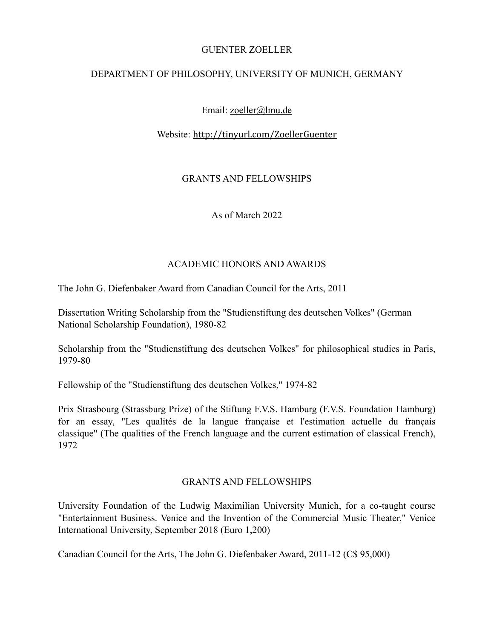#### GUENTER ZOELLER

## DEPARTMENT OF PHILOSOPHY, UNIVERSITY OF MUNICH, GERMANY

# Email: [zoeller@lmu.de](mailto:zoeller@lmu.de)

## Website: <http://tinyurl.com/ZoellerGuenter>

## GRANTS AND FELLOWSHIPS

As of March 2022

## ACADEMIC HONORS AND AWARDS

The John G. Diefenbaker Award from Canadian Council for the Arts, 2011

Dissertation Writing Scholarship from the "Studienstiftung des deutschen Volkes" (German National Scholarship Foundation), 1980-82

Scholarship from the "Studienstiftung des deutschen Volkes" for philosophical studies in Paris, 1979-80

Fellowship of the "Studienstiftung des deutschen Volkes," 1974-82

Prix Strasbourg (Strassburg Prize) of the Stiftung F.V.S. Hamburg (F.V.S. Foundation Hamburg) for an essay, "Les qualités de la langue française et l'estimation actuelle du français classique" (The qualities of the French language and the current estimation of classical French), 1972

## GRANTS AND FELLOWSHIPS

University Foundation of the Ludwig Maximilian University Munich, for a co-taught course "Entertainment Business. Venice and the Invention of the Commercial Music Theater," Venice International University, September 2018 (Euro 1,200)

Canadian Council for the Arts, The John G. Diefenbaker Award, 2011-12 (C\$ 95,000)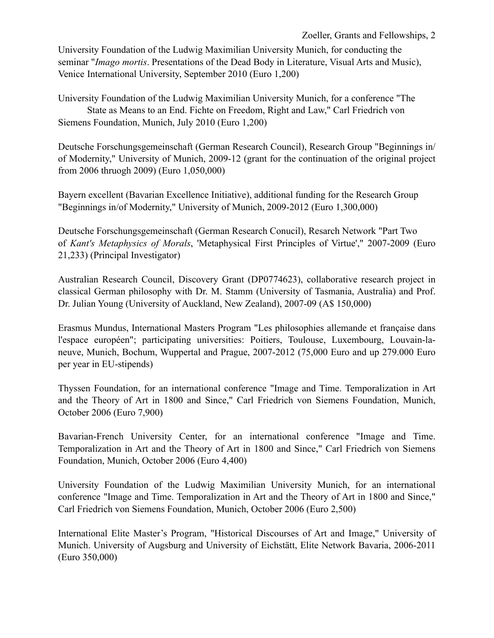University Foundation of the Ludwig Maximilian University Munich, for conducting the seminar "*Imago mortis*. Presentations of the Dead Body in Literature, Visual Arts and Music), Venice International University, September 2010 (Euro 1,200)

University Foundation of the Ludwig Maximilian University Munich, for a conference "The State as Means to an End. Fichte on Freedom, Right and Law," Carl Friedrich von Siemens Foundation, Munich, July 2010 (Euro 1,200)

Deutsche Forschungsgemeinschaft (German Research Council), Research Group "Beginnings in/ of Modernity," University of Munich, 2009-12 (grant for the continuation of the original project from 2006 thruogh 2009) (Euro 1,050,000)

Bayern excellent (Bavarian Excellence Initiative), additional funding for the Research Group "Beginnings in/of Modernity," University of Munich, 2009-2012 (Euro 1,300,000)

Deutsche Forschungsgemeinschaft (German Research Conucil), Resarch Network "Part Two of *Kant's Metaphysics of Morals*, 'Metaphysical First Principles of Virtue'," 2007-2009 (Euro 21,233) (Principal Investigator)

Australian Research Council, Discovery Grant (DP0774623), collaborative research project in classical German philosophy with Dr. M. Stamm (University of Tasmania, Australia) and Prof. Dr. Julian Young (University of Auckland, New Zealand), 2007-09 (A\$ 150,000)

Erasmus Mundus, International Masters Program "Les philosophies allemande et française dans l'espace européen"; participating universities: Poitiers, Toulouse, Luxembourg, Louvain-laneuve, Munich, Bochum, Wuppertal and Prague, 2007-2012 (75,000 Euro and up 279.000 Euro per year in EU-stipends)

Thyssen Foundation, for an international conference "Image and Time. Temporalization in Art and the Theory of Art in 1800 and Since," Carl Friedrich von Siemens Foundation, Munich, October 2006 (Euro 7,900)

Bavarian-French University Center, for an international conference "Image and Time. Temporalization in Art and the Theory of Art in 1800 and Since," Carl Friedrich von Siemens Foundation, Munich, October 2006 (Euro 4,400)

University Foundation of the Ludwig Maximilian University Munich, for an international conference "Image and Time. Temporalization in Art and the Theory of Art in 1800 and Since," Carl Friedrich von Siemens Foundation, Munich, October 2006 (Euro 2,500)

International Elite Master's Program, "Historical Discourses of Art and Image," University of Munich. University of Augsburg and University of Eichstätt, Elite Network Bavaria, 2006-2011 (Euro 350,000)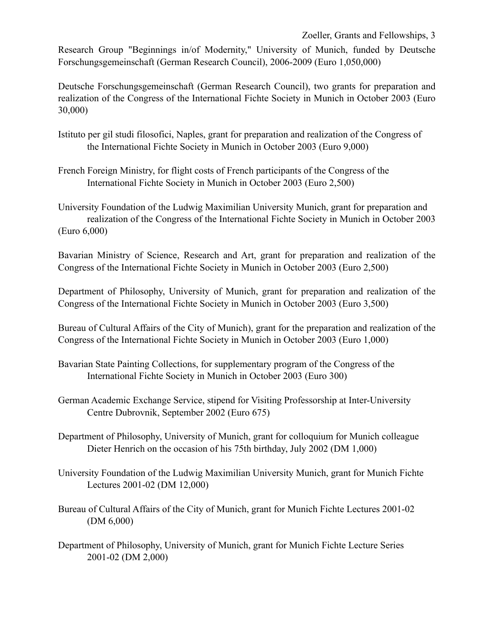Research Group "Beginnings in/of Modernity," University of Munich, funded by Deutsche Forschungsgemeinschaft (German Research Council), 2006-2009 (Euro 1,050,000)

Deutsche Forschungsgemeinschaft (German Research Council), two grants for preparation and realization of the Congress of the International Fichte Society in Munich in October 2003 (Euro 30,000)

- Istituto per gil studi filosofici, Naples, grant for preparation and realization of the Congress of the International Fichte Society in Munich in October 2003 (Euro 9,000)
- French Foreign Ministry, for flight costs of French participants of the Congress of the International Fichte Society in Munich in October 2003 (Euro 2,500)

University Foundation of the Ludwig Maximilian University Munich, grant for preparation and realization of the Congress of the International Fichte Society in Munich in October 2003 (Euro 6,000)

Bavarian Ministry of Science, Research and Art, grant for preparation and realization of the Congress of the International Fichte Society in Munich in October 2003 (Euro 2,500)

Department of Philosophy, University of Munich, grant for preparation and realization of the Congress of the International Fichte Society in Munich in October 2003 (Euro 3,500)

Bureau of Cultural Affairs of the City of Munich), grant for the preparation and realization of the Congress of the International Fichte Society in Munich in October 2003 (Euro 1,000)

- Bavarian State Painting Collections, for supplementary program of the Congress of the International Fichte Society in Munich in October 2003 (Euro 300)
- German Academic Exchange Service, stipend for Visiting Professorship at Inter-University Centre Dubrovnik, September 2002 (Euro 675)
- Department of Philosophy, University of Munich, grant for colloquium for Munich colleague Dieter Henrich on the occasion of his 75th birthday, July 2002 (DM 1,000)
- University Foundation of the Ludwig Maximilian University Munich, grant for Munich Fichte Lectures 2001-02 (DM 12,000)
- Bureau of Cultural Affairs of the City of Munich, grant for Munich Fichte Lectures 2001-02 (DM 6,000)
- Department of Philosophy, University of Munich, grant for Munich Fichte Lecture Series 2001-02 (DM 2,000)